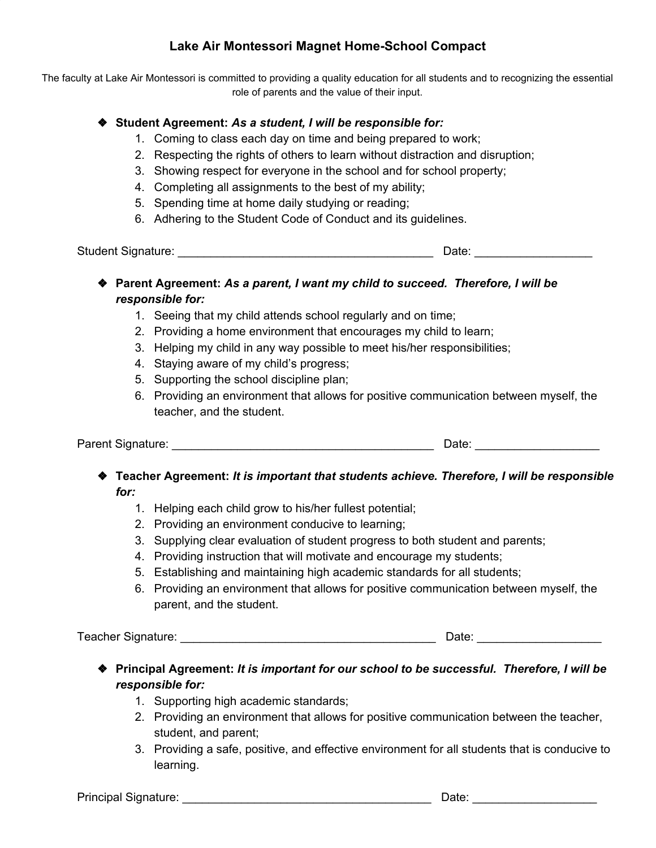# **Lake Air Montessori Magnet Home-School Compact**

The faculty at Lake Air Montessori is committed to providing a quality education for all students and to recognizing the essential role of parents and the value of their input.

### ❖ **Student Agreement:** *As a student, I will be responsible for:*

- 1. Coming to class each day on time and being prepared to work;
- 2. Respecting the rights of others to learn without distraction and disruption;
- 3. Showing respect for everyone in the school and for school property;
- 4. Completing all assignments to the best of my ability;
- 5. Spending time at home daily studying or reading;
- 6. Adhering to the Student Code of Conduct and its guidelines.

Student Signature: \_\_\_\_\_\_\_\_\_\_\_\_\_\_\_\_\_\_\_\_\_\_\_\_\_\_\_\_\_\_\_\_\_\_\_\_\_\_\_ Date: \_\_\_\_\_\_\_\_\_\_\_\_\_\_\_\_\_\_

- ❖ **Parent Agreement:** *As a parent, I want my child to succeed. Therefore, I will be responsible for:*
	- 1. Seeing that my child attends school regularly and on time;
	- 2. Providing a home environment that encourages my child to learn;
	- 3. Helping my child in any way possible to meet his/her responsibilities;
	- 4. Staying aware of my child's progress;
	- 5. Supporting the school discipline plan;
	- 6. Providing an environment that allows for positive communication between myself, the teacher, and the student.

Parent Signature: \_\_\_\_\_\_\_\_\_\_\_\_\_\_\_\_\_\_\_\_\_\_\_\_\_\_\_\_\_\_\_\_\_\_\_\_\_\_\_\_ Date: \_\_\_\_\_\_\_\_\_\_\_\_\_\_\_\_\_\_\_

- ❖ **Teacher Agreement:** *It is important that students achieve. Therefore, I will be responsible for:*
	- 1. Helping each child grow to his/her fullest potential;
	- 2. Providing an environment conducive to learning;
	- 3. Supplying clear evaluation of student progress to both student and parents;
	- 4. Providing instruction that will motivate and encourage my students;
	- 5. Establishing and maintaining high academic standards for all students;
	- 6. Providing an environment that allows for positive communication between myself, the parent, and the student.

Teacher Signature: \_\_\_\_\_\_\_\_\_\_\_\_\_\_\_\_\_\_\_\_\_\_\_\_\_\_\_\_\_\_\_\_\_\_\_\_\_\_\_ Date: \_\_\_\_\_\_\_\_\_\_\_\_\_\_\_\_\_\_\_

- ❖ **Principal Agreement:** *It is important for our school to be successful. Therefore, I will be responsible for:*
	- 1. Supporting high academic standards;
	- 2. Providing an environment that allows for positive communication between the teacher, student, and parent;
	- 3. Providing a safe, positive, and effective environment for all students that is conducive to learning.